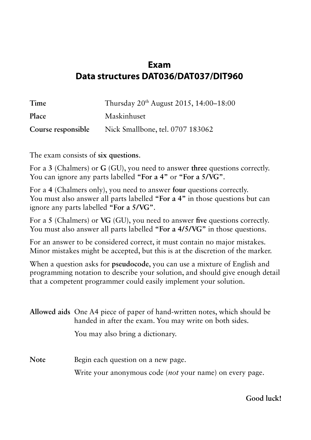## **Exam Data structures DAT036/DAT037/DIT960**

| Time               | Thursday 20 <sup>th</sup> August 2015, 14:00–18:00 |
|--------------------|----------------------------------------------------|
| Place              | Maskinhuset                                        |
| Course responsible | Nick Smallbone, tel. 0707 183062                   |

The exam consists of **six questions**.

For a **3** (Chalmers) or **G** (GU), you need to answer **three** questions correctly. You can ignore any parts labelled **"For a 4"** or **"For a 5/VG"**.

For a **4** (Chalmers only), you need to answer **four** questions correctly. You must also answer all parts labelled **"For a 4"** in those questions but can ignore any parts labelled **"For a 5/VG"**.

For a **5** (Chalmers) or **VG** (GU), you need to answer **five** questions correctly. You must also answer all parts labelled **"For a 4/5/VG"** in those questions.

For an answer to be considered correct, it must contain no major mistakes. Minor mistakes might be accepted, but this is at the discretion of the marker.

When a question asks for **pseudocode**, you can use a mixture of English and programming notation to describe your solution, and should give enough detail that a competent programmer could easily implement your solution.

|             | Allowed aids One A4 piece of paper of hand-written notes, which should be<br>handed in after the exam. You may write on both sides. |  |  |  |
|-------------|-------------------------------------------------------------------------------------------------------------------------------------|--|--|--|
|             | You may also bring a dictionary.                                                                                                    |  |  |  |
| <b>Note</b> | Begin each question on a new page.                                                                                                  |  |  |  |
|             | Write your anonymous code ( <i>not</i> your name) on every page.                                                                    |  |  |  |

**Good luck!**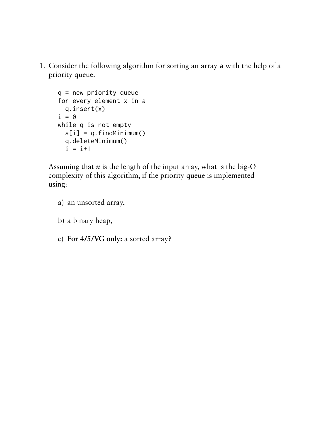1. Consider the following algorithm for sorting an array a with the help of a priority queue.

```
q = new priority queue
for every element x in a
   q.insert(x)
i = 0while q is not empty
  a[i] = q.findMinimum() q.deleteMinimum()
  i = i+1
```
Assuming that  $n$  is the length of the input array, what is the big-O complexity of this algorithm, if the priority queue is implemented using:

- a) an unsorted array,
- b) a binary heap,
- c) **For 4/5/VG only:** a sorted array?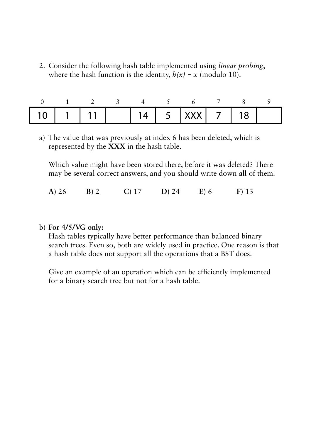2. Consider the following hash table implemented using *linear probing*, where the hash function is the identity,  $h(x) = x$  (modulo 10).

| $ 10 1111 145 $ $ 201718$ . |  |  |  |  |  |
|-----------------------------|--|--|--|--|--|

a) The value that was previously at index 6 has been deleted, which is represented by the **XXX** in the hash table.

Which value might have been stored there, before it was deleted? There may be several correct answers, and you should write down **all** of them.

|  | $A)$ 26 | B) 2 | $C$ ) 17 | $D)$ 24 | E(6) | $F)$ 13 |
|--|---------|------|----------|---------|------|---------|
|--|---------|------|----------|---------|------|---------|

b) **For 4/5/VG only:**

Hash tables typically have better performance than balanced binary search trees. Even so, both are widely used in practice. One reason is that a hash table does not support all the operations that a BST does.

Give an example of an operation which can be efficiently implemented for a binary search tree but not for a hash table.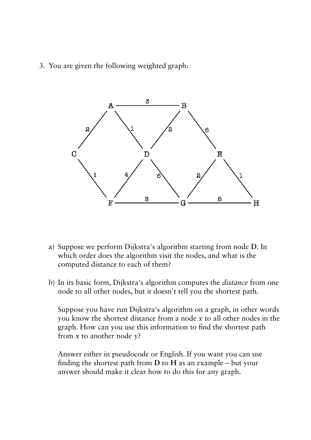3. You are given the following weighted graph:



- a) Suppose we perform Dijkstra's algorithm starting from node **D**. In which order does the algorithm visit the nodes, and what is the computed distance to each of them?
- b) In its basic form, Dijkstra's algorithm computes the *distance* from one node to all other nodes, but it doesn't tell you the shortest path.

Suppose you have run Dijkstra's algorithm on a graph, in other words you know the shortest distance from a node *x* to all other nodes in the graph. How can you use this information to find the shortest path from *x* to another node *y*?

Answer either in pseudocode or English. If you want you can use finding the shortest path from **D** to **H** as an example – but your answer should make it clear how to do this for any graph.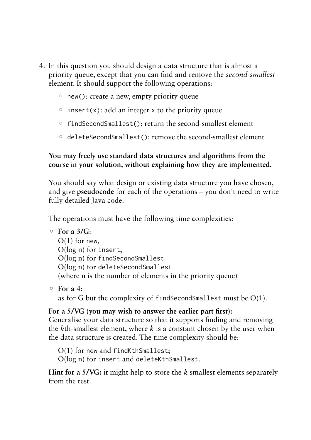- 4. In this question you should design a data structure that is almost a priority queue, except that you can find and remove the *second-smallest* element. It should support the following operations:
	- new(): create a new, empty priority queue
	- $\circ$  insert(x): add an integer x to the priority queue
	- findSecondSmallest(): return the second-smallest element
	- deleteSecondSmallest(): remove the second-smallest element

## **You may freely use standard data structures and algorithms from the course in your solution, without explaining how they are implemented.**

You should say what design or existing data structure you have chosen, and give **pseudocode** for each of the operations – you don't need to write fully detailed Java code.

The operations must have the following time complexities:

```
◦ For a 3/G:
```
 $O(1)$  for new, O(log n) for insert, O(log n) for findSecondSmallest O(log n) for deleteSecondSmallest (where n is the number of elements in the priority queue)

◦ **For a 4:**

as for G but the complexity of findSecondSmallest must be  $O(1)$ .

## **For a 5/VG (you may wish to answer the earlier part first):**

Generalise your data structure so that it supports finding and removing the *k*th-smallest element, where *k* is a constant chosen by the user when the data structure is created. The time complexity should be:

O(1) for new and findKthSmallest;

O(log n) for insert and deleteKthSmallest.

**Hint for a 5/VG:** it might help to store the *k* smallest elements separately from the rest.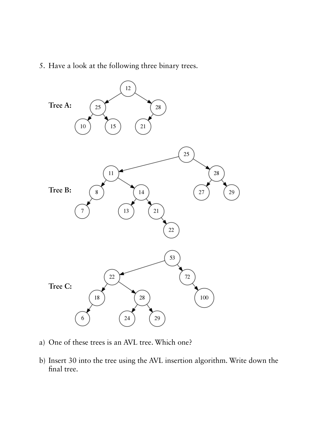5. Have a look at the following three binary trees.



- a) One of these trees is an AVL tree. Which one?
- b) Insert 30 into the tree using the AVL insertion algorithm. Write down the final tree.